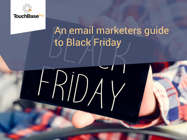

## An email marketers guide to Black Friday

HDAY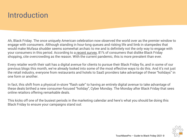## Introduction

Ah, Black Friday. The once uniquely American celebration now observed the world over as the premier window to engage with consumers. Although standing in hour-long queues and risking life and limb in stampedes that would make Mufasa shudder seems somewhat archaic to me and is definitely not the only way to engage with your consumers in this period. According to a [recent survey](https://www.surveymonkey.com/curiosity/5-black-friday-statistics/#:~:text=Only%2026%25%20of%20adults%20plan,to%2044%20years%20of%20age.), 81% of consumers that dislike Black Friday shopping, cite overcrowding as the reason. With the current pandemic, this is more prevalent than ever.

Every retailer worth their salt has a digital avenue for clients to pursue their Black Friday fix, and in some of our previous blogs this month, we've already looked into some of the most effective ways to do this. And it's not just the retail industry, everyone from restaurants and hotels to SaaS providers take advantage of these "holidays" in one form or another.

In fact, this shift from a physical in-store "flash sale" to having an entirely digital avenue to take advantage of these deals birthed a new consumer-focused "holiday", Cyber Monday. The Monday after Black Friday that sees online retailors offering remarkable deals.

This kicks off one of the busiest periods in the marketing calendar and here's what you should be doing this Black Friday to ensure your campaigns stand out:

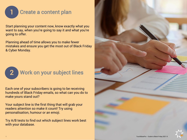

Start planning your content now, know exactly what you want to say, when you're going to say it and what you're going to offer.

Planning ahead of time allows you to make fewer mistakes and ensure you get the most out of Black Friday & Cyber Monday.



Each one of your subscribers is going to be receiving hundreds of Black Friday emails, so what can you do to make yours stand out?

Your subject line is the first thing that will grab your readers attention so make it count! Try using personalisation, humour or an emoji.

Try A/B tests to find out which subject lines work best with your database.

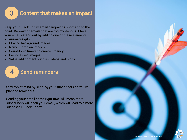

## 3 Content that makes an impact

Keep your Black Friday email campaigns short and to the point. Be wary of emails that are too mysterious! Make your emails stand out by adding one of these elements:

- ✓ Animates gifs
- ✓ Moving background images
- $\checkmark$  Name merge on images
- $\checkmark$  Countdown timers to create urgency
- ✓ Personalised images
- ✓ Value add content such as videos and blogs



Stay top of mind by sending your subscribers carefully planned reminders.

Sending your email at the right time will mean more subscribers will open your email, which will lead to a more successful Black Friday.